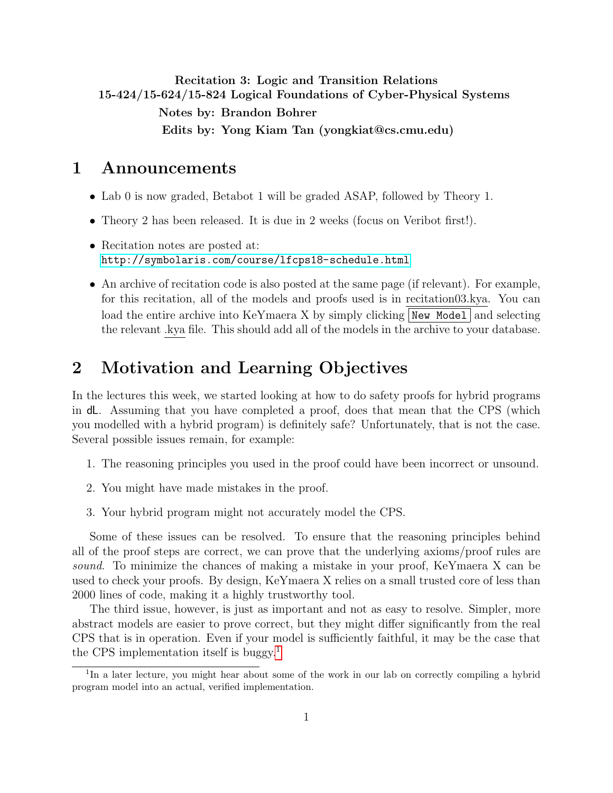<span id="page-0-1"></span>Recitation 3: Logic and Transition Relations 15-424/15-624/15-824 Logical Foundations of Cyber-Physical Systems Notes by: Brandon Bohrer Edits by: Yong Kiam Tan (yongkiat@cs.cmu.edu)

## 1 Announcements

- Lab 0 is now graded, Betabot 1 will be graded ASAP, followed by Theory 1.
- Theory 2 has been released. It is due in 2 weeks (focus on Veribot first!).
- Recitation notes are posted at: <http://symbolaris.com/course/lfcps18-schedule.html>
- An archive of recitation code is also posted at the same page (if relevant). For example, for this recitation, all of the models and proofs used is in recitation03.kya. You can load the entire archive into KeYmaera X by simply clicking  $\vert$  New Model and selecting the relevant .kya file. This should add all of the models in the archive to your database.

# 2 Motivation and Learning Objectives

In the lectures this week, we started looking at how to do safety proofs for hybrid programs in dL. Assuming that you have completed a proof, does that mean that the CPS (which you modelled with a hybrid program) is definitely safe? Unfortunately, that is not the case. Several possible issues remain, for example:

- 1. The reasoning principles you used in the proof could have been incorrect or unsound.
- 2. You might have made mistakes in the proof.
- 3. Your hybrid program might not accurately model the CPS.

Some of these issues can be resolved. To ensure that the reasoning principles behind all of the proof steps are correct, we can prove that the underlying axioms/proof rules are sound. To minimize the chances of making a mistake in your proof, KeYmaera X can be used to check your proofs. By design, KeYmaera X relies on a small trusted core of less than 2000 lines of code, making it a highly trustworthy tool.

The third issue, however, is just as important and not as easy to resolve. Simpler, more abstract models are easier to prove correct, but they might differ significantly from the real CPS that is in operation. Even if your model is sufficiently faithful, it may be the case that the CPS implementation itself is buggy.<sup>[1](#page-0-0)</sup>

<span id="page-0-0"></span><sup>&</sup>lt;sup>1</sup>In a later lecture, you might hear about some of the work in our lab on correctly compiling a hybrid program model into an actual, verified implementation.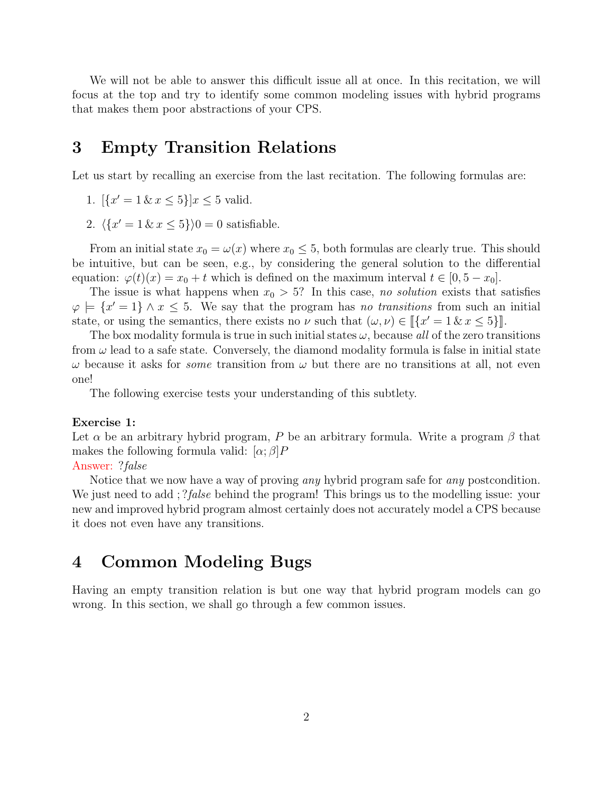We will not be able to answer this difficult issue all at once. In this recitation, we will focus at the top and try to identify some common modeling issues with hybrid programs that makes them poor abstractions of your CPS.

# 3 Empty Transition Relations

Let us start by recalling an exercise from the last recitation. The following formulas are:

- 1.  $\left[\{x'=1\,\&\,x\leq 5\}\right]x\leq 5$  valid.
- 2.  $\langle \{x' = 1 \& x \leq 5\} \rangle 0 = 0$  satisfiable.

From an initial state  $x_0 = \omega(x)$  where  $x_0 \leq 5$ , both formulas are clearly true. This should be intuitive, but can be seen, e.g., by considering the general solution to the differential equation:  $\varphi(t)(x) = x_0 + t$  which is defined on the maximum interval  $t \in [0, 5 - x_0]$ .

The issue is what happens when  $x_0 > 5$ ? In this case, no solution exists that satisfies  $\varphi \models \{x' = 1\} \land x \leq 5$ . We say that the program has no transitions from such an initial state, or using the semantics, there exists no  $\nu$  such that  $(\omega, \nu) \in [[x' = 1 \& x \le 5]]$ .<br>The box modelity formula is true in such initial states  $\mu$  because all of the zero trans

The box modality formula is true in such initial states  $\omega$ , because all of the zero transitions from  $\omega$  lead to a safe state. Conversely, the diamond modality formula is false in initial state  $\omega$  because it asks for *some* transition from  $\omega$  but there are no transitions at all, not even one!

The following exercise tests your understanding of this subtlety.

#### Exercise 1:

Let  $\alpha$  be an arbitrary hybrid program, P be an arbitrary formula. Write a program  $\beta$  that makes the following formula valid:  $[\alpha; \beta]P$ 

#### Answer: ?false

Notice that we now have a way of proving *any* hybrid program safe for *any* postcondition. We just need to add; ?*false* behind the program! This brings us to the modelling issue: your new and improved hybrid program almost certainly does not accurately model a CPS because it does not even have any transitions.

# 4 Common Modeling Bugs

Having an empty transition relation is but one way that hybrid program models can go wrong. In this section, we shall go through a few common issues.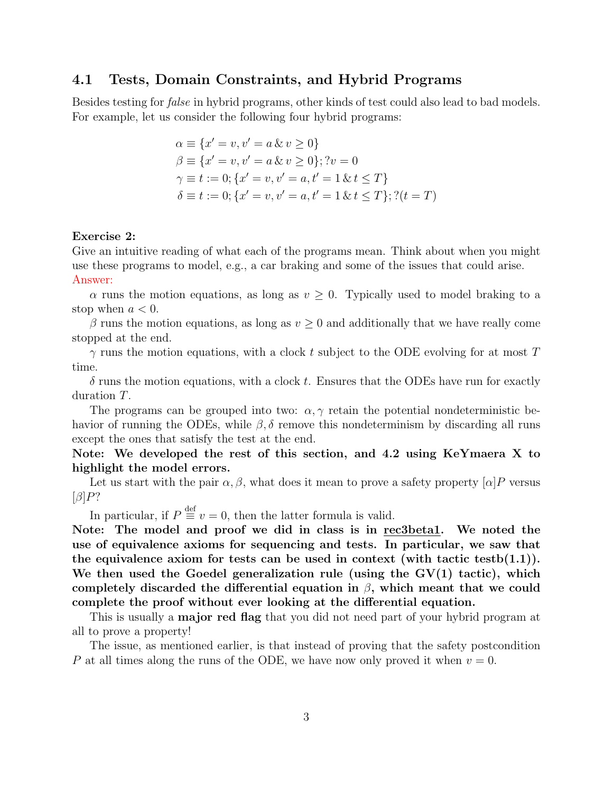## 4.1 Tests, Domain Constraints, and Hybrid Programs

Besides testing for false in hybrid programs, other kinds of test could also lead to bad models. For example, let us consider the following four hybrid programs:

$$
\alpha \equiv \{x' = v, v' = a \& v \ge 0\}
$$
  
\n
$$
\beta \equiv \{x' = v, v' = a \& v \ge 0\}; ?v = 0
$$
  
\n
$$
\gamma \equiv t := 0; \{x' = v, v' = a, t' = 1 \& t \le T\}
$$
  
\n
$$
\delta \equiv t := 0; \{x' = v, v' = a, t' = 1 \& t \le T\}; ?(t = T)
$$

#### Exercise 2:

Give an intuitive reading of what each of the programs mean. Think about when you might use these programs to model, e.g., a car braking and some of the issues that could arise. Answer:

 $\alpha$  runs the motion equations, as long as  $v \geq 0$ . Typically used to model braking to a stop when  $a < 0$ .

 $\beta$  runs the motion equations, as long as  $v \geq 0$  and additionally that we have really come stopped at the end.

 $\gamma$  runs the motion equations, with a clock t subject to the ODE evolving for at most T time.

 $\delta$  runs the motion equations, with a clock t. Ensures that the ODEs have run for exactly duration T.

The programs can be grouped into two:  $\alpha, \gamma$  retain the potential nondeterministic behavior of running the ODEs, while  $\beta$ ,  $\delta$  remove this nondeterminism by discarding all runs except the ones that satisfy the test at the end.

## Note: We developed the rest of this section, and 4.2 using KeYmaera X to highlight the model errors.

Let us start with the pair  $\alpha, \beta$ , what does it mean to prove a safety property  $\alpha | P$  versus  $\lbrack \beta \rbrack P?$ 

In particular, if  $P \equiv v = 0$ , then the latter formula is valid.

Note: The model and proof we did in class is in rec3beta1. We noted the use of equivalence axioms for sequencing and tests. In particular, we saw that the equivalence axiom for tests can be used in context (with tactic testb(1.1)). We then used the Goedel generalization rule (using the  $GV(1)$  tactic), which completely discarded the differential equation in  $\beta$ , which meant that we could complete the proof without ever looking at the differential equation.

This is usually a **major red flag** that you did not need part of your hybrid program at all to prove a property!

The issue, as mentioned earlier, is that instead of proving that the safety postcondition P at all times along the runs of the ODE, we have now only proved it when  $v = 0$ .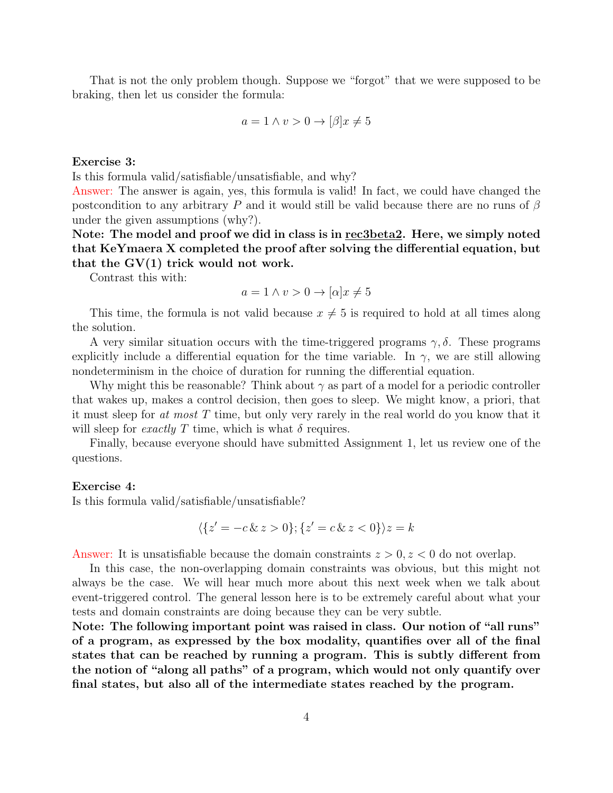That is not the only problem though. Suppose we "forgot" that we were supposed to be braking, then let us consider the formula:

$$
a = 1 \land v > 0 \to [\beta]x \neq 5
$$

#### Exercise 3:

Is this formula valid/satisfiable/unsatisfiable, and why?

Answer: The answer is again, yes, this formula is valid! In fact, we could have changed the postcondition to any arbitrary P and it would still be valid because there are no runs of  $\beta$ under the given assumptions (why?).

Note: The model and proof we did in class is in rec3beta2. Here, we simply noted that KeYmaera X completed the proof after solving the differential equation, but that the  $GV(1)$  trick would not work.

Contrast this with:

$$
a = 1 \land v > 0 \to [\alpha]x \neq 5
$$

This time, the formula is not valid because  $x \neq 5$  is required to hold at all times along the solution.

A very similar situation occurs with the time-triggered programs  $\gamma$ ,  $\delta$ . These programs explicitly include a differential equation for the time variable. In  $\gamma$ , we are still allowing nondeterminism in the choice of duration for running the differential equation.

Why might this be reasonable? Think about  $\gamma$  as part of a model for a periodic controller that wakes up, makes a control decision, then goes to sleep. We might know, a priori, that it must sleep for at most  $T$  time, but only very rarely in the real world do you know that it will sleep for *exactly* T time, which is what  $\delta$  requires.

Finally, because everyone should have submitted Assignment 1, let us review one of the questions.

#### Exercise 4:

Is this formula valid/satisfiable/unsatisfiable?

$$
\langle \{ z' = -c \& z > 0 \}; \{ z' = c \& z < 0 \} \rangle z = k
$$

Answer: It is unsatisfiable because the domain constraints  $z > 0, z < 0$  do not overlap.

In this case, the non-overlapping domain constraints was obvious, but this might not always be the case. We will hear much more about this next week when we talk about event-triggered control. The general lesson here is to be extremely careful about what your tests and domain constraints are doing because they can be very subtle.

Note: The following important point was raised in class. Our notion of "all runs" of a program, as expressed by the box modality, quantifies over all of the final states that can be reached by running a program. This is subtly different from the notion of "along all paths" of a program, which would not only quantify over final states, but also all of the intermediate states reached by the program.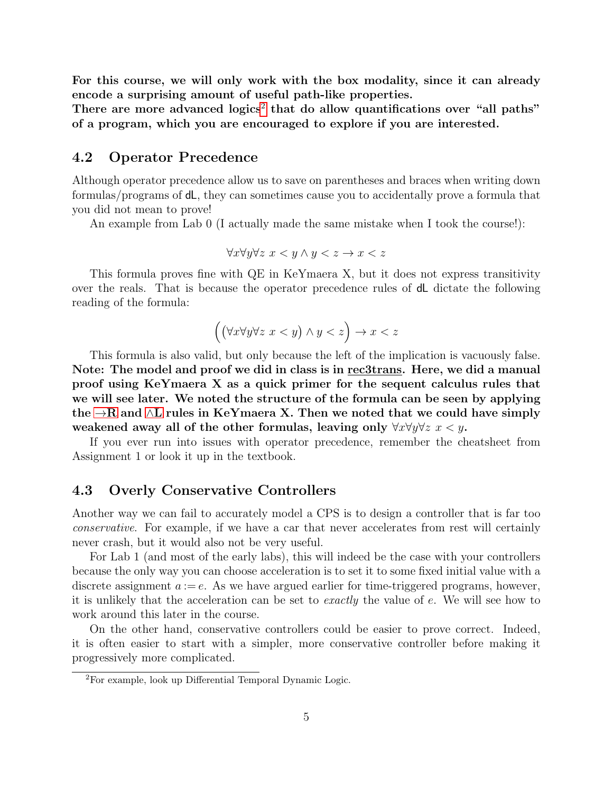For this course, we will only work with the box modality, since it can already encode a surprising amount of useful path-like properties.

There are more advanced  $logics<sup>2</sup>$  $logics<sup>2</sup>$  $logics<sup>2</sup>$  that do allow quantifications over "all paths" of a program, which you are encouraged to explore if you are interested.

## 4.2 Operator Precedence

Although operator precedence allow us to save on parentheses and braces when writing down formulas/programs of dL, they can sometimes cause you to accidentally prove a formula that you did not mean to prove!

An example from Lab 0 (I actually made the same mistake when I took the course!):

$$
\forall x \forall y \forall z \ x < y \land y < z \to x < z
$$

This formula proves fine with QE in KeYmaera X, but it does not express transitivity over the reals. That is because the operator precedence rules of dL dictate the following reading of the formula:

$$
((\forall x \forall y \forall z \ x < y) \land y < z) \to x < z
$$

This formula is also valid, but only because the left of the implication is vacuously false. Note: The model and proof we did in class is in rec3trans. Here, we did a manual proof using KeYmaera X as a quick primer for the sequent calculus rules that we will see later. We noted the structure of the formula can be seen by applying the  $\rightarrow$ R and ∧[L](#page-0-1) rules in KeYmaera X. Then we noted that we could have simply weakened away all of the other formulas, leaving only  $\forall x \forall y \forall z \ x \leq y$ .

If you ever run into issues with operator precedence, remember the cheatsheet from Assignment 1 or look it up in the textbook.

## 4.3 Overly Conservative Controllers

Another way we can fail to accurately model a CPS is to design a controller that is far too conservative. For example, if we have a car that never accelerates from rest will certainly never crash, but it would also not be very useful.

For Lab 1 (and most of the early labs), this will indeed be the case with your controllers because the only way you can choose acceleration is to set it to some fixed initial value with a discrete assignment  $a := e$ . As we have argued earlier for time-triggered programs, however, it is unlikely that the acceleration can be set to exactly the value of e. We will see how to work around this later in the course.

On the other hand, conservative controllers could be easier to prove correct. Indeed, it is often easier to start with a simpler, more conservative controller before making it progressively more complicated.

<span id="page-4-0"></span><sup>2</sup>For example, look up Differential Temporal Dynamic Logic.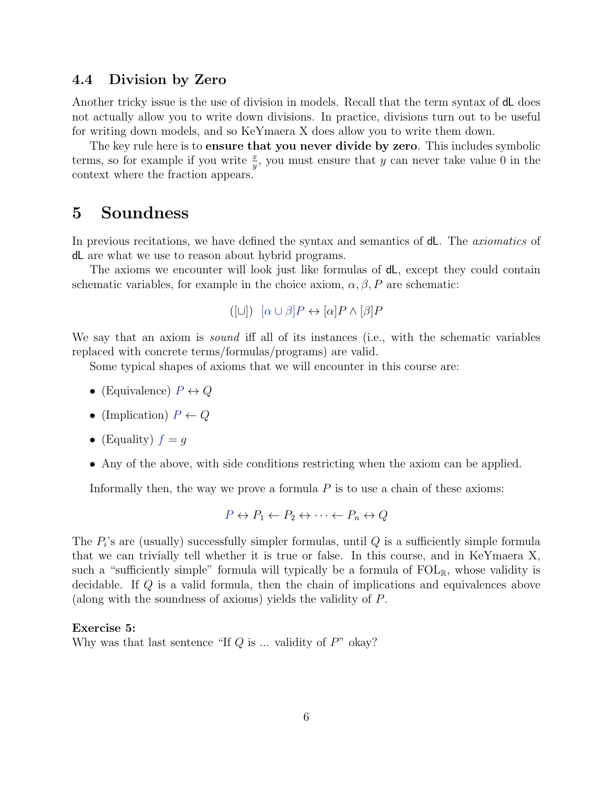### 4.4 Division by Zero

Another tricky issue is the use of division in models. Recall that the term syntax of **d**L does not actually allow you to write down divisions. In practice, divisions turn out to be useful for writing down models, and so KeYmaera X does allow you to write them down.

The key rule here is to **ensure that you never divide by zero**. This includes symbolic terms, so for example if you write  $\frac{x}{y}$ , you must ensure that y can never take value 0 in the context where the fraction appears.

## 5 Soundness

In previous recitations, we have defined the syntax and semantics of dL. The *axiomatics* of dL are what we use to reason about hybrid programs.

The axioms we encounter will look just like formulas of dL, except they could contain schematic variables, for example in the choice axiom,  $\alpha, \beta, P$  are schematic:

```
([∪]) [\alpha \cup \beta]P \leftrightarrow [\alpha]P \wedge [\beta]P
```
We say that an axiom is *sound* iff all of its instances (i.e., with the schematic variables replaced with concrete terms/formulas/programs) are valid.

Some typical shapes of axioms that we will encounter in this course are:

- (Equivalence)  $P \leftrightarrow Q$
- (Implication)  $P \leftarrow Q$
- (Equality)  $f = g$
- Any of the above, with side conditions restricting when the axiom can be applied.

Informally then, the way we prove a formula  $P$  is to use a chain of these axioms:

$$
P \leftrightarrow P_1 \leftarrow P_2 \leftrightarrow \cdots \leftarrow P_n \leftrightarrow Q
$$

The  $P_i$ 's are (usually) successfully simpler formulas, until  $Q$  is a sufficiently simple formula that we can trivially tell whether it is true or false. In this course, and in KeYmaera X, such a "sufficiently simple" formula will typically be a formula of  $FOL_{\mathbb{R}}$ , whose validity is decidable. If Q is a valid formula, then the chain of implications and equivalences above (along with the soundness of axioms) yields the validity of P.

#### Exercise 5:

Why was that last sentence "If  $Q$  is ... validity of  $P$ " okay?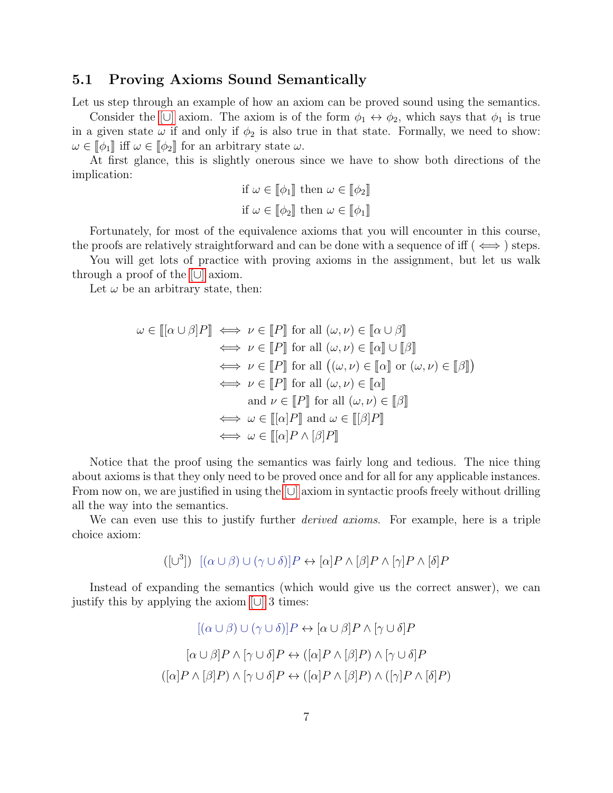## 5.1 Proving Axioms Sound Semantically

Let us step through an example of how an axiom can be proved sound using the semantics.

Consider the  $[\cup]$  axiom. The axiom is of the form  $\phi_1 \leftrightarrow \phi_2$ , which says that  $\phi_1$  is true in a given state  $\omega$  if and only if  $\phi_2$  is also true in that state. Formally, we need to show:  $\omega \in [\![\phi_1]\!]$  iff  $\omega \in [\![\phi_2]\!]$  for an arbitrary state  $\omega$ .

At first glance, this is slightly onerous since we have to show both directions of the implication:

if 
$$
\omega \in [\![\phi_1]\!]
$$
 then  $\omega \in [\![\phi_2]\!]$   
if  $\omega \in [\![\phi_2]\!]$  then  $\omega \in [\![\phi_1]\!]$ 

Fortunately, for most of the equivalence axioms that you will encounter in this course, the proofs are relatively straightforward and can be done with a sequence of iff ( $\iff$ ) steps.

You will get lots of practice with proving axioms in the assignment, but let us walk through a proof of the [\[](#page-0-1)∪] axiom.

Let  $\omega$  be an arbitrary state, then:

$$
\omega \in [[\alpha \cup \beta]P] \iff \nu \in [P] \text{ for all } (\omega, \nu) \in [\alpha \cup \beta]
$$
  
\n
$$
\iff \nu \in [P] \text{ for all } (\omega, \nu) \in [\alpha] \cup [\beta]
$$
  
\n
$$
\iff \nu \in [P] \text{ for all } ((\omega, \nu) \in [\alpha] \text{ or } (\omega, \nu) \in [\beta])
$$
  
\n
$$
\iff \nu \in [P] \text{ for all } (\omega, \nu) \in [\alpha]
$$
  
\nand 
$$
\nu \in [P] \text{ for all } (\omega, \nu) \in [\beta]
$$
  
\n
$$
\iff \omega \in [[\alpha]P] \text{ and } \omega \in [[\beta]P]
$$
  
\n
$$
\iff \omega \in [[\alpha]P \wedge [\beta]P]
$$

Notice that the proof using the semantics was fairly long and tedious. The nice thing about axioms is that they only need to be proved once and for all for any applicable instances. From now on, we are justified in using the [[∪](#page-0-1)] axiom in syntactic proofs freely without drilling all the way into the semantics.

We can even use this to justify further *derived axioms*. For example, here is a triple choice axiom:

<span id="page-6-0"></span>
$$
([\cup^3]) \quad [(\alpha \cup \beta) \cup (\gamma \cup \delta)]P \leftrightarrow [\alpha]P \wedge [\beta]P \wedge [\gamma]P \wedge [\delta]P
$$

Instead of expanding the semantics (which would give us the correct answer), we can justify this by applying the axiom [\[](#page-0-1)∪] 3 times:

$$
[(\alpha \cup \beta) \cup (\gamma \cup \delta)]P \leftrightarrow [\alpha \cup \beta]P \wedge [\gamma \cup \delta]P
$$

$$
[\alpha \cup \beta]P \wedge [\gamma \cup \delta]P \leftrightarrow ([\alpha]P \wedge [\beta]P) \wedge [\gamma \cup \delta]P
$$

$$
([\alpha]P \wedge [\beta]P) \wedge [\gamma \cup \delta]P \leftrightarrow ([\alpha]P \wedge [\beta]P) \wedge ([\gamma]P \wedge [\delta]P)
$$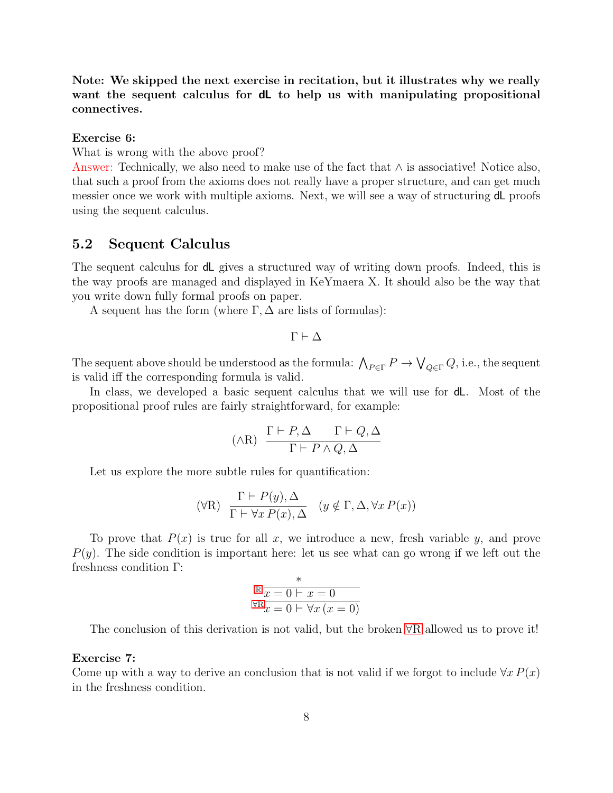Note: We skipped the next exercise in recitation, but it illustrates why we really want the sequent calculus for **dL** to help us with manipulating propositional connectives.

Exercise 6:

What is wrong with the above proof?

Answer: Technically, we also need to make use of the fact that ∧ is associative! Notice also, that such a proof from the axioms does not really have a proper structure, and can get much messier once we work with multiple axioms. Next, we will see a way of structuring dL proofs using the sequent calculus.

## 5.2 Sequent Calculus

The sequent calculus for dL gives a structured way of writing down proofs. Indeed, this is the way proofs are managed and displayed in KeYmaera X. It should also be the way that you write down fully formal proofs on paper.

A sequent has the form (where  $\Gamma, \Delta$  are lists of formulas):

$$
\Gamma \vdash \Delta
$$

The sequent above should be understood as the formula:  $\bigwedge_{P \in \Gamma} P \to \bigvee_{Q \in \Gamma} Q$ , i.e., the sequent is valid iff the corresponding formula is valid.

In class, we developed a basic sequent calculus that we will use for dL. Most of the propositional proof rules are fairly straightforward, for example:

$$
(\wedge R) \quad \frac{\Gamma \vdash P, \Delta \qquad \Gamma \vdash Q, \Delta}{\Gamma \vdash P \wedge Q, \Delta}
$$

Let us explore the more subtle rules for quantification:

$$
(\forall R) \ \frac{\Gamma \vdash P(y), \Delta}{\Gamma \vdash \forall x \, P(x), \Delta} \ \ (y \notin \Gamma, \Delta, \forall x \, P(x))
$$

To prove that  $P(x)$  is true for all x, we introduce a new, fresh variable y, and prove  $P(y)$ . The side condition is important here: let us see what can go wrong if we left out the freshness condition Γ:

$$
\mathbb{R} \frac{x}{x=0 \mid x=0}
$$
  

$$
\forall R x=0 \mid \forall x (x=0)
$$

The conclusion of this derivation is not valid, but the broken ∀[R](#page-0-1) allowed us to prove it!

#### Exercise 7:

Come up with a way to derive an conclusion that is not valid if we forgot to include  $\forall x P(x)$ in the freshness condition.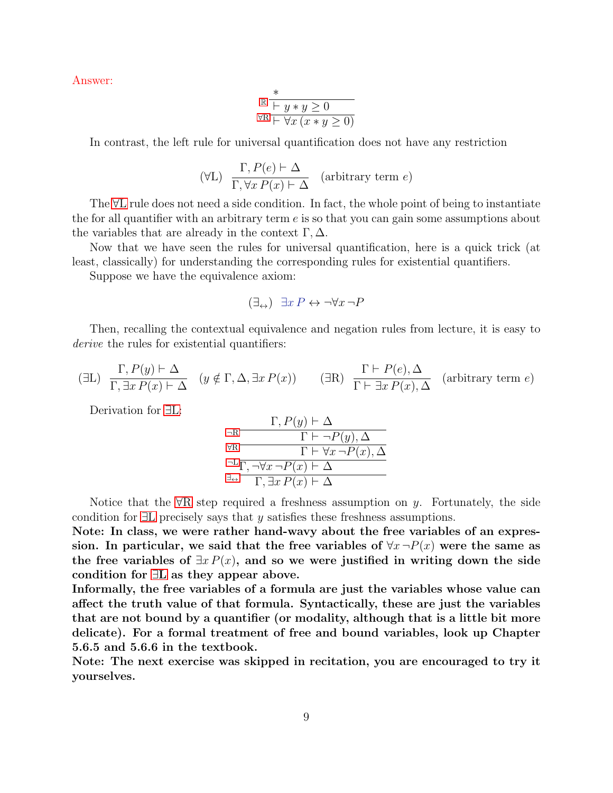Answer:

$$
\begin{array}{c}\n\ast \\
\mathbb{R} \quad \xrightarrow{+} y * y \geq 0 \\
\forall \mathbf{R} \vdash \forall x \, (x * y \geq 0)\n\end{array}
$$

In contrast, the left rule for universal quantification does not have any restriction

$$
(\forall L) \frac{\Gamma, P(e) \vdash \Delta}{\Gamma, \forall x P(x) \vdash \Delta} \quad (\text{arbitrary term } e)
$$

The ∀[L](#page-0-1) rule does not need a side condition. In fact, the whole point of being to instantiate the for all quantifier with an arbitrary term  $e$  is so that you can gain some assumptions about the variables that are already in the context  $\Gamma, \Delta$ .

Now that we have seen the rules for universal quantification, here is a quick trick (at least, classically) for understanding the corresponding rules for existential quantifiers.

Suppose we have the equivalence axiom:

<span id="page-8-0"></span>
$$
(\exists_{\leftrightarrow}) \exists x P \leftrightarrow \neg \forall x \neg P
$$

Then, recalling the contextual equivalence and negation rules from lecture, it is easy to derive the rules for existential quantifiers:

$$
(\exists L) \ \frac{\Gamma, P(y) \vdash \Delta}{\Gamma, \exists x \, P(x) \vdash \Delta} \ \ (y \notin \Gamma, \Delta, \exists x \, P(x)) \qquad (\exists R) \ \frac{\Gamma \vdash P(e), \Delta}{\Gamma \vdash \exists x \, P(x), \Delta} \ \ (\text{arbitrary term } e)
$$

 $F$ , P( $\lambda$ )  $\lambda$ 

Derivation for ∃[L:](#page-0-1)

$$
\frac{\Gamma, P(y) \vdash \Delta}{\forall R \frac{\Gamma \vdash \neg P(y), \Delta}{\Gamma \vdash \forall x \neg P(x), \Delta}}{\Gamma \vdash \forall x \neg P(x), \Delta}
$$
\n
$$
\frac{\neg L \overline{\Gamma, \neg \forall x \neg P(x) \vdash \Delta}}{\Gamma, \exists x \, P(x) \vdash \Delta}
$$

Notice that the  $\forall R$  $\forall R$  step required a freshness assumption on y. Fortunately, the side condition for  $\exists L$  $\exists L$  precisely says that y satisfies these freshness assumptions.

Note: In class, we were rather hand-wavy about the free variables of an expression. In particular, we said that the free variables of  $\forall x \neg P(x)$  were the same as the free variables of  $\exists x P(x)$ , and so we were justified in writing down the side condition for ∃[L](#page-0-1) as they appear above.

Informally, the free variables of a formula are just the variables whose value can affect the truth value of that formula. Syntactically, these are just the variables that are not bound by a quantifier (or modality, although that is a little bit more delicate). For a formal treatment of free and bound variables, look up Chapter 5.6.5 and 5.6.6 in the textbook.

Note: The next exercise was skipped in recitation, you are encouraged to try it yourselves.